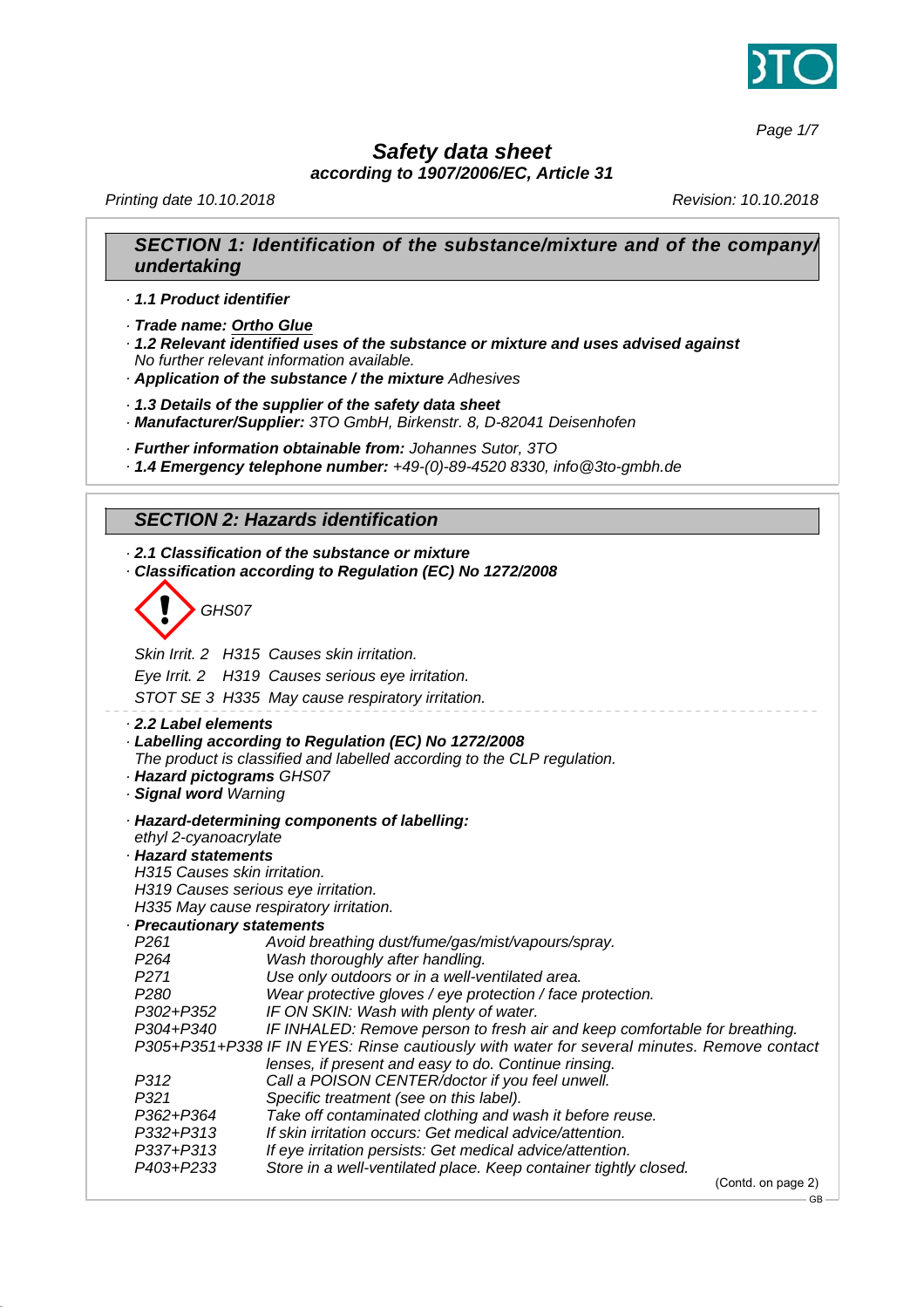

*Page 1/7*

# *Safety data sheet*

*according to 1907/2006/EC, Article 31*

*Printing date 10.10.2018 Revision: 10.10.2018*

### *SECTION 1: Identification of the substance/mixture and of the company/ undertaking*

*· 1.1 Product identifier*

*· Trade name: Ortho Glue*

*· 1.2 Relevant identified uses of the substance or mixture and uses advised against No further relevant information available.*

*· Application of the substance / the mixture Adhesives*

*· 1.3 Details of the supplier of the safety data sheet*

*· Manufacturer/Supplier: 3TO GmbH, Birkenstr. 8, D-82041 Deisenhofen*

*· Further information obtainable from: Johannes Sutor, 3TO*

*· 1.4 Emergency telephone number: +49-(0)-89-4520 8330, info@3to-gmbh.de*

### *SECTION 2: Hazards identification*

*· 2.1 Classification of the substance or mixture · Classification according to Regulation (EC) No 1272/2008*

d~*GHS07*

*Skin Irrit. 2 H315 Causes skin irritation. Eye Irrit. 2 H319 Causes serious eye irritation. STOT SE 3 H335 May cause respiratory irritation. · 2.2 Label elements · Labelling according to Regulation (EC) No 1272/2008 The product is classified and labelled according to the CLP regulation. · Hazard pictograms GHS07 · Signal word Warning · Hazard-determining components of labelling: ethyl 2-cyanoacrylate · Hazard statements H315 Causes skin irritation. H319 Causes serious eye irritation. H335 May cause respiratory irritation. · Precautionary statements P261 Avoid breathing dust/fume/gas/mist/vapours/spray. P264 Wash thoroughly after handling.* Use only outdoors or in a well-ventilated area. *P280 Wear protective gloves / eye protection / face protection. P302+P352 IF ON SKIN: Wash with plenty of water. P304+P340 IF INHALED: Remove person to fresh air and keep comfortable for breathing. P305+P351+P338 IF IN EYES: Rinse cautiously with water for several minutes. Remove contact lenses, if present and easy to do. Continue rinsing. P312 Call a POISON CENTER/doctor if you feel unwell. P321 Specific treatment (see on this label). P362+P364 Take off contaminated clothing and wash it before reuse. P332+P313 If skin irritation occurs: Get medical advice/attention. P337+P313 If eye irritation persists: Get medical advice/attention. P403+P233 Store in a well-ventilated place. Keep container tightly closed.* (Contd. on page 2)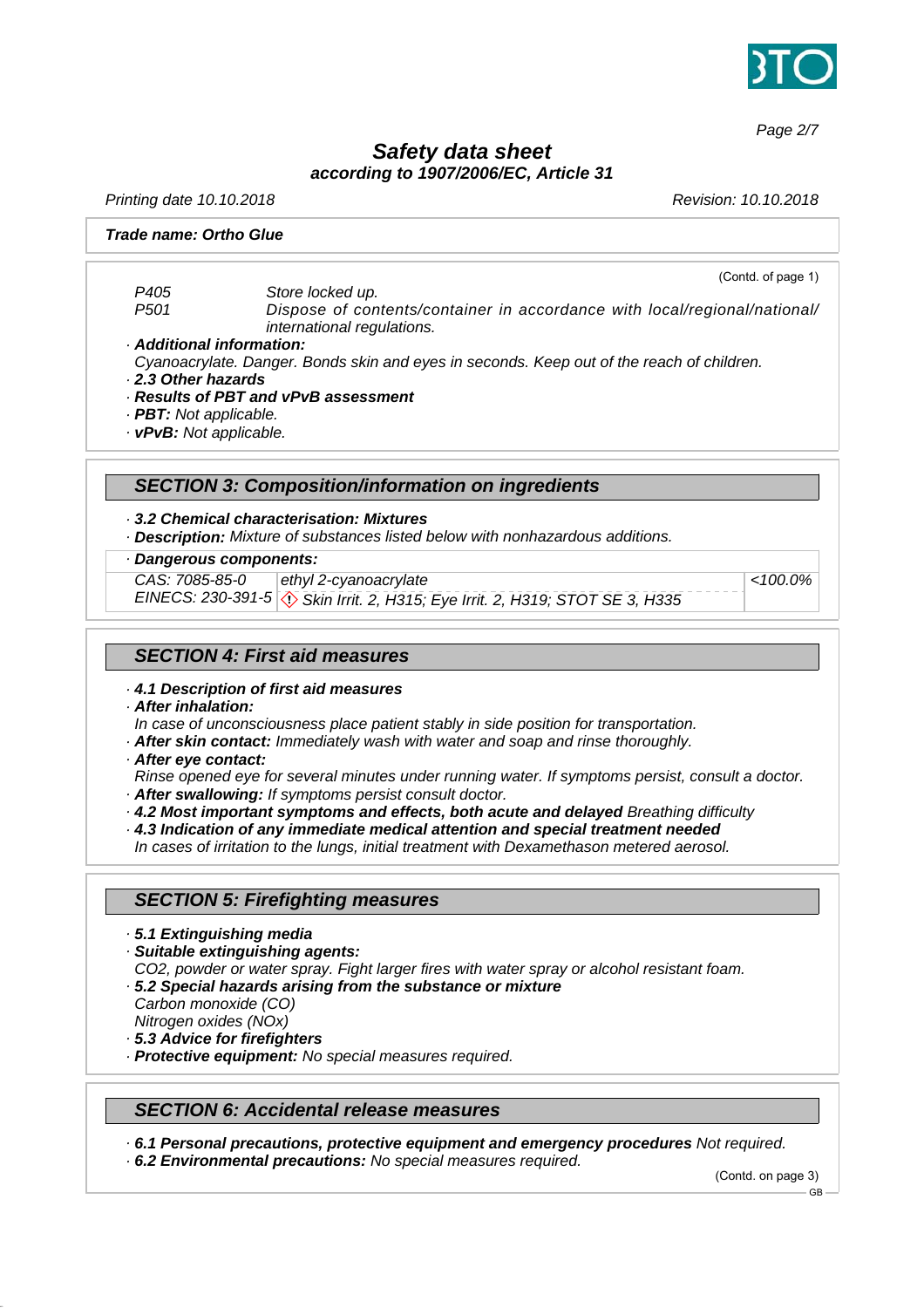

*Page 2/7*

*Safety data sheet*

*according to 1907/2006/EC, Article 31*

*Printing date 10.10.2018 Revision: 10.10.2018*

#### *Trade name: Ortho Glue*

(Contd. of page 1) *P405 Store locked up. P501 Dispose of contents/container in accordance with local/regional/national/ international regulations.*

#### *· Additional information:*

*Cyanoacrylate. Danger. Bonds skin and eyes in seconds. Keep out of the reach of children.*

- *· 2.3 Other hazards*
- *· Results of PBT and vPvB assessment*
- *· PBT: Not applicable.*
- *· vPvB: Not applicable.*

# *SECTION 3: Composition/information on ingredients*

*· 3.2 Chemical characterisation: Mixtures*

*· Description: Mixture of substances listed below with nonhazardous additions.*

### *· Dangerous components:*

*CAS: 7085-85-0*

*EINECS: 230-391-5* d~ *Skin Irrit. 2, H315; Eye Irrit. 2, H319; STOT SE 3, H335 ethyl 2-cyanoacrylate*

*<100.0%*

## *SECTION 4: First aid measures*

- *· 4.1 Description of first aid measures*
- *· After inhalation:*

*In case of unconsciousness place patient stably in side position for transportation.*

- *· After skin contact: Immediately wash with water and soap and rinse thoroughly.*
- *· After eye contact:*

*Rinse opened eye for several minutes under running water. If symptoms persist, consult a doctor.*

- *· After swallowing: If symptoms persist consult doctor.*
- *· 4.2 Most important symptoms and effects, both acute and delayed Breathing difficulty*
- *· 4.3 Indication of any immediate medical attention and special treatment needed*

*In cases of irritation to the lungs, initial treatment with Dexamethason metered aerosol.*

### *SECTION 5: Firefighting measures*

- *· 5.1 Extinguishing media*
- *· Suitable extinguishing agents:*

*CO2, powder or water spray. Fight larger fires with water spray or alcohol resistant foam.*

- *· 5.2 Special hazards arising from the substance or mixture Carbon monoxide (CO) Nitrogen oxides (NOx)*
- *· 5.3 Advice for firefighters*
- *· Protective equipment: No special measures required.*

#### *SECTION 6: Accidental release measures*

*· 6.1 Personal precautions, protective equipment and emergency procedures Not required.*

*· 6.2 Environmental precautions: No special measures required.*

(Contd. on page 3)

GB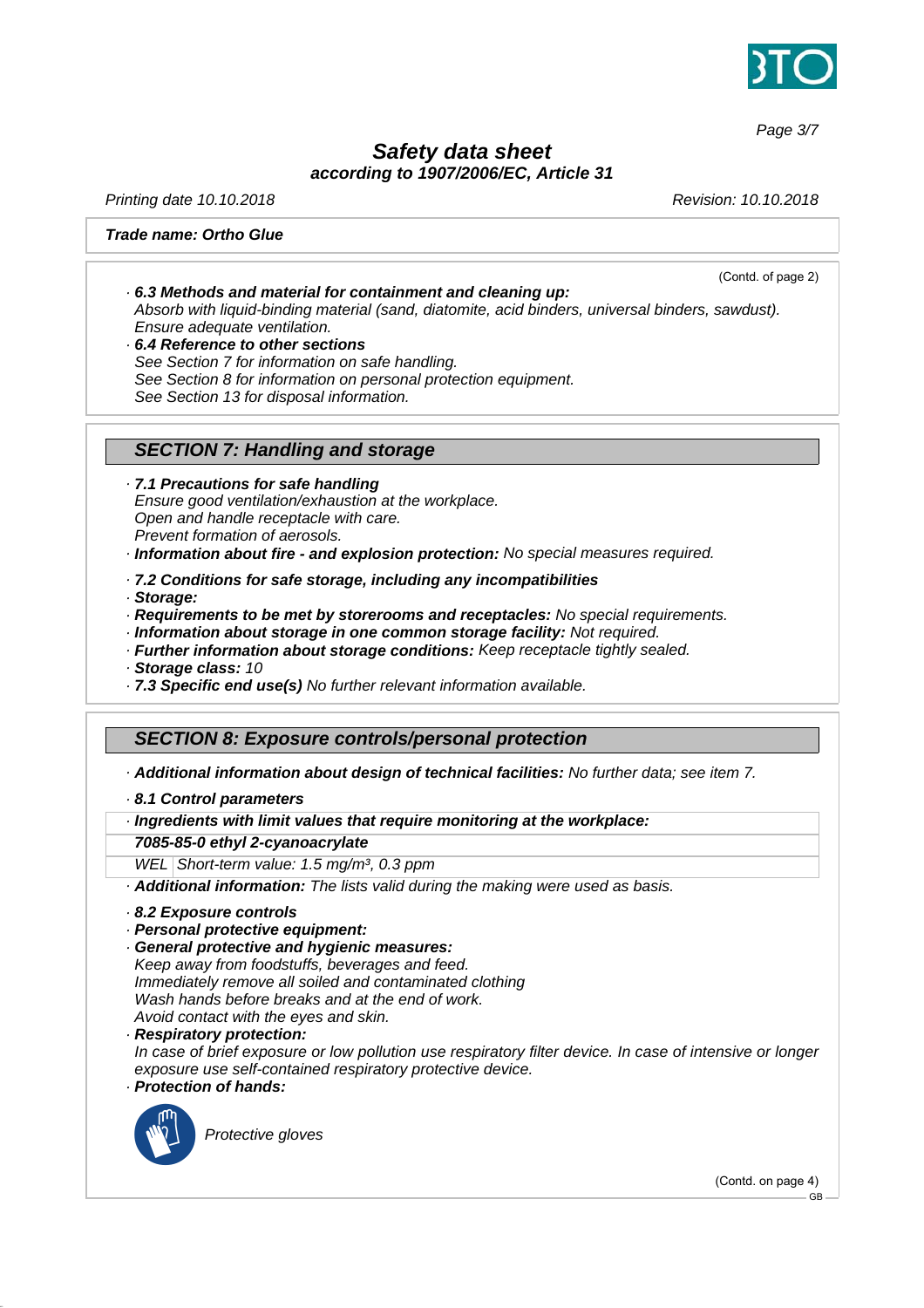

*Page 3/7*

# *Safety data sheet according to 1907/2006/EC, Article 31*

*Printing date 10.10.2018 Revision: 10.10.2018*

(Contd. of page 2)

#### *Trade name: Ortho Glue*

- *· 6.3 Methods and material for containment and cleaning up: Absorb with liquid-binding material (sand, diatomite, acid binders, universal binders, sawdust). Ensure adequate ventilation.*
- *· 6.4 Reference to other sections See Section 7 for information on safe handling. See Section 8 for information on personal protection equipment. See Section 13 for disposal information.*

#### *SECTION 7: Handling and storage*

*· 7.1 Precautions for safe handling Ensure good ventilation/exhaustion at the workplace. Open and handle receptacle with care. Prevent formation of aerosols.*

- *· Information about fire and explosion protection: No special measures required.*
- *· 7.2 Conditions for safe storage, including any incompatibilities*
- *· Storage:*
- *· Requirements to be met by storerooms and receptacles: No special requirements.*
- *· Information about storage in one common storage facility: Not required.*
- *· Further information about storage conditions: Keep receptacle tightly sealed.*

*· Storage class: 10*

*· 7.3 Specific end use(s) No further relevant information available.*

### *SECTION 8: Exposure controls/personal protection*

#### *· Additional information about design of technical facilities: No further data; see item 7.*

#### *· 8.1 Control parameters*

*· Ingredients with limit values that require monitoring at the workplace:*

#### *7085-85-0 ethyl 2-cyanoacrylate*

*WEL Short-term value: 1.5 mg/m³, 0.3 ppm*

*· Additional information: The lists valid during the making were used as basis.*

- *· 8.2 Exposure controls*
- *· Personal protective equipment:*
- *· General protective and hygienic measures: Keep away from foodstuffs, beverages and feed. Immediately remove all soiled and contaminated clothing Wash hands before breaks and at the end of work. Avoid contact with the eyes and skin.*

*· Respiratory protection:*

*In case of brief exposure or low pollution use respiratory filter device. In case of intensive or longer exposure use self-contained respiratory protective device.*

*· Protection of hands:*



\_S*Protective gloves*

(Contd. on page 4)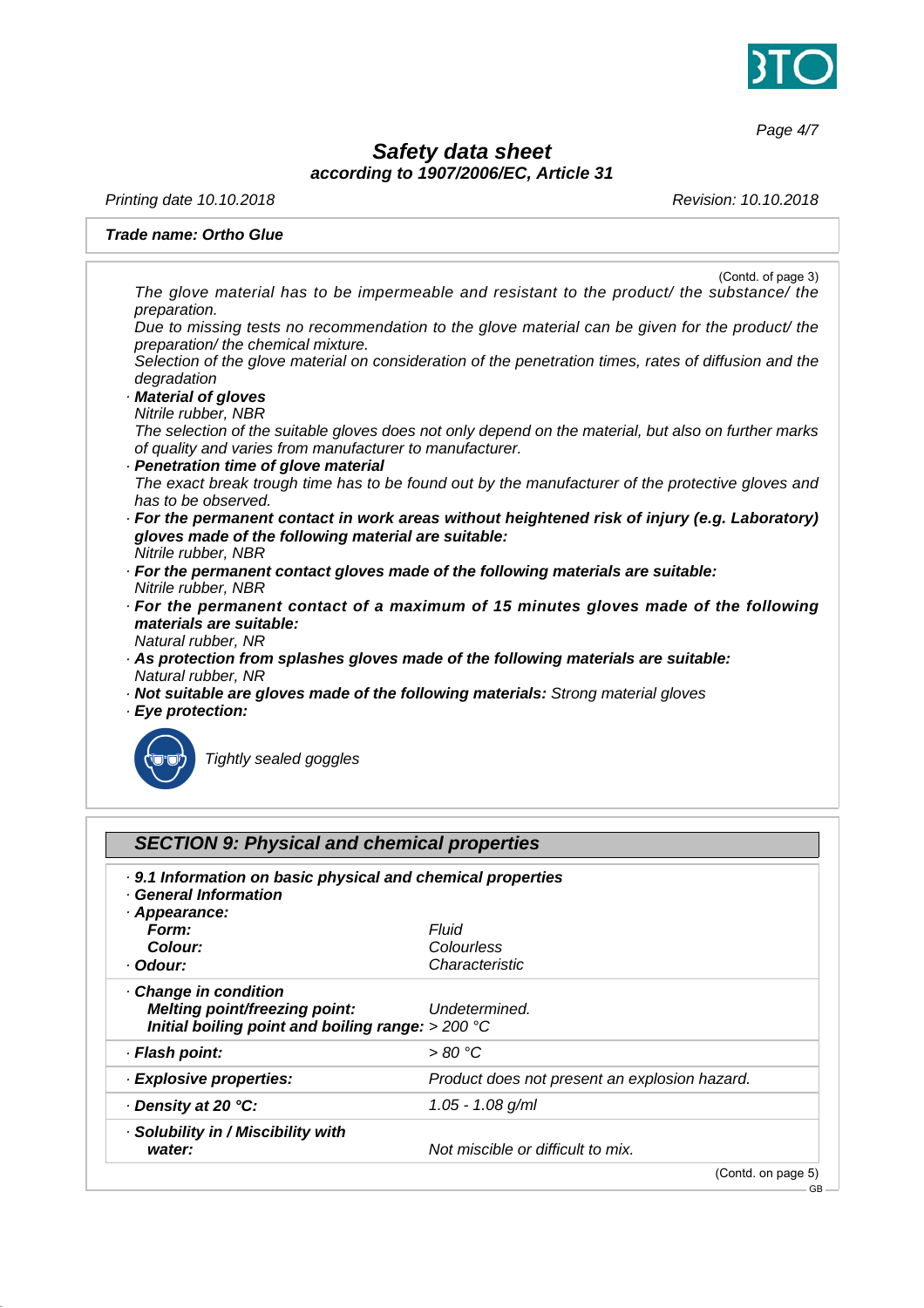

*Page 4/7*

# *Safety data sheet according to 1907/2006/EC, Article 31*

*Printing date 10.10.2018 Revision: 10.10.2018*

### *Trade name: Ortho Glue*

| (Contd. of page 3)<br>The glove material has to be impermeable and resistant to the product/ the substance/ the                                                  |
|------------------------------------------------------------------------------------------------------------------------------------------------------------------|
| preparation.                                                                                                                                                     |
| Due to missing tests no recommendation to the glove material can be given for the product/ the<br>preparation/ the chemical mixture.                             |
| Selection of the glove material on consideration of the penetration times, rates of diffusion and the<br>degradation                                             |
| Material of gloves                                                                                                                                               |
| Nitrile rubber, NBR                                                                                                                                              |
| The selection of the suitable gloves does not only depend on the material, but also on further marks<br>of quality and varies from manufacturer to manufacturer. |
| · Penetration time of glove material                                                                                                                             |
| The exact break trough time has to be found out by the manufacturer of the protective gloves and                                                                 |
| has to be observed.                                                                                                                                              |
| · For the permanent contact in work areas without heightened risk of injury (e.g. Laboratory)<br>gloves made of the following material are suitable:             |
| Nitrile rubber, NBR                                                                                                                                              |
| · For the permanent contact gloves made of the following materials are suitable:                                                                                 |
| Nitrile rubber, NBR                                                                                                                                              |
| · For the permanent contact of a maximum of 15 minutes gloves made of the following                                                                              |
| materials are suitable:                                                                                                                                          |
| Natural rubber, NR                                                                                                                                               |
| As protection from splashes gloves made of the following materials are suitable:                                                                                 |
| Natural rubber, NR                                                                                                                                               |
| بمنصاب الماسط مستسمس والمستطر والماسط والمستحير والمستحقق والمستحدث والمستحدث والمالمانية والمستحدث                                                              |

- *· Not suitable are gloves made of the following materials: Strong material gloves*
- *· Eye protection:*



\_R*Tightly sealed goggles*

| . 9.1 Information on basic physical and chemical properties<br>· General Information                                 |                                               |  |
|----------------------------------------------------------------------------------------------------------------------|-----------------------------------------------|--|
| · Appearance:<br>Form:                                                                                               | Fluid                                         |  |
| Colour:                                                                                                              | Colourless                                    |  |
| · Odour:                                                                                                             | Characteristic                                |  |
| · Change in condition<br><b>Melting point/freezing point:</b><br>Initial boiling point and boiling range: $> 200 °C$ | Undetermined.                                 |  |
| · Flash point:                                                                                                       | >80 °C                                        |  |
| · Explosive properties:                                                                                              | Product does not present an explosion hazard. |  |
| ⋅ Density at 20 °C:                                                                                                  | $1.05 - 1.08$ g/ml                            |  |
| · Solubility in / Miscibility with<br>water:                                                                         | Not miscible or difficult to mix.             |  |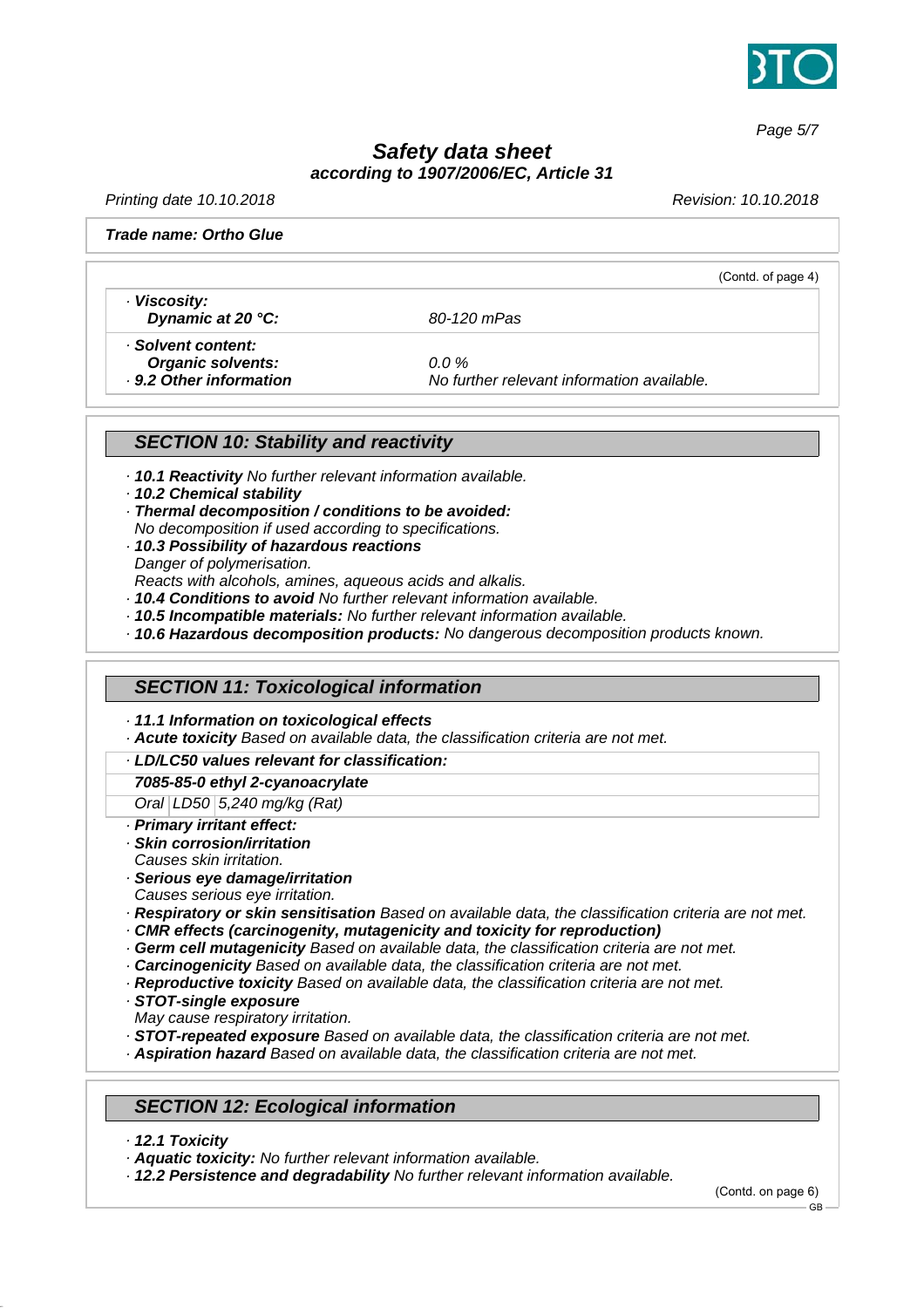

*Page 5/7*

# *Safety data sheet according to 1907/2006/EC, Article 31*

*Printing date 10.10.2018 Revision: 10.10.2018*

(Contd. of page 4)

#### *Trade name: Ortho Glue*

*· Viscosity: Dynamic at 20 °C: 80-120 mPas*

*· Solvent content: Organic solvents: 0.0 %*

*· 9.2 Other information No further relevant information available.*

### *SECTION 10: Stability and reactivity*

- *· 10.1 Reactivity No further relevant information available.*
- *· 10.2 Chemical stability*
- *· Thermal decomposition / conditions to be avoided: No decomposition if used according to specifications.*
- *· 10.3 Possibility of hazardous reactions Danger of polymerisation. Reacts with alcohols, amines, aqueous acids and alkalis.*
- *· 10.4 Conditions to avoid No further relevant information available.*
- *· 10.5 Incompatible materials: No further relevant information available.*
- *· 10.6 Hazardous decomposition products: No dangerous decomposition products known.*

### *SECTION 11: Toxicological information*

- *· 11.1 Information on toxicological effects*
- *· Acute toxicity Based on available data, the classification criteria are not met.*
- *· LD/LC50 values relevant for classification:*

#### *7085-85-0 ethyl 2-cyanoacrylate*

*Oral LD50 5,240 mg/kg (Rat)*

- *· Primary irritant effect:*
- *· Skin corrosion/irritation Causes skin irritation.*
- *· Serious eye damage/irritation*
- *Causes serious eye irritation.*
- *· Respiratory or skin sensitisation Based on available data, the classification criteria are not met.*
- *· CMR effects (carcinogenity, mutagenicity and toxicity for reproduction)*
- *· Germ cell mutagenicity Based on available data, the classification criteria are not met.*
- *· Carcinogenicity Based on available data, the classification criteria are not met.*
- *· Reproductive toxicity Based on available data, the classification criteria are not met.*
- *· STOT-single exposure*
- *May cause respiratory irritation.*
- *· STOT-repeated exposure Based on available data, the classification criteria are not met.*
- *· Aspiration hazard Based on available data, the classification criteria are not met.*

### *SECTION 12: Ecological information*

- *· 12.1 Toxicity*
- *· Aquatic toxicity: No further relevant information available.*
- *· 12.2 Persistence and degradability No further relevant information available.*

(Contd. on page 6)

GB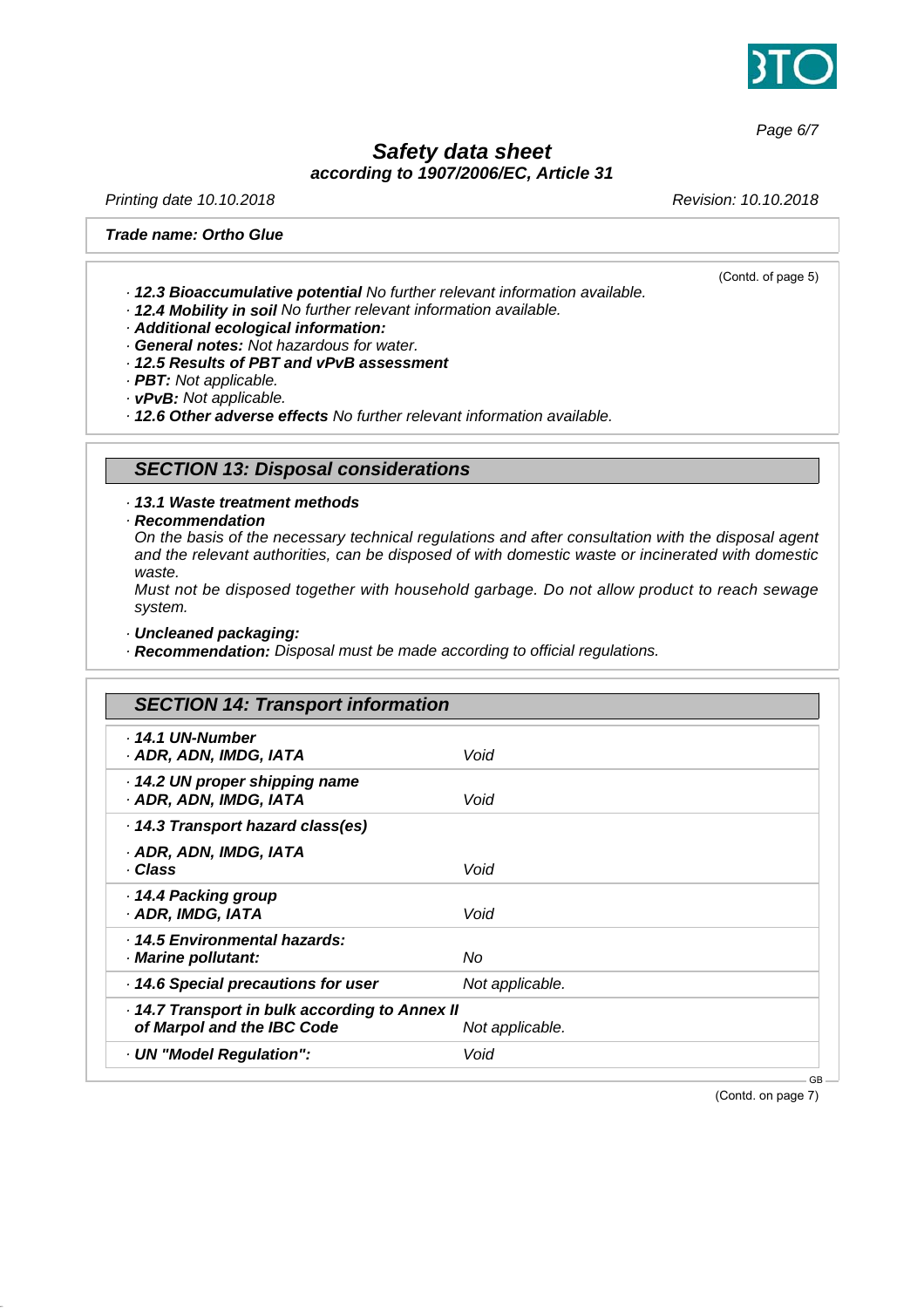

*Page 6/7*

# *Safety data sheet according to 1907/2006/EC, Article 31*

*Printing date 10.10.2018 Revision: 10.10.2018*

(Contd. of page 5)

#### *Trade name: Ortho Glue*

- *· 12.3 Bioaccumulative potential No further relevant information available.*
- *· 12.4 Mobility in soil No further relevant information available.*
- *· Additional ecological information:*
- *· General notes: Not hazardous for water.*
- *· 12.5 Results of PBT and vPvB assessment*
- *· PBT: Not applicable.*
- *· vPvB: Not applicable.*

*· 12.6 Other adverse effects No further relevant information available.*

### *SECTION 13: Disposal considerations*

*· 13.1 Waste treatment methods*

*· Recommendation*

*On the basis of the necessary technical regulations and after consultation with the disposal agent and the relevant authorities, can be disposed of with domestic waste or incinerated with domestic waste.*

*Must not be disposed together with household garbage. Do not allow product to reach sewage system.*

*· Uncleaned packaging:*

*· Recommendation: Disposal must be made according to official regulations.*

| <b>SECTION 14: Transport information</b>                                   |                 |  |
|----------------------------------------------------------------------------|-----------------|--|
| · 14.1 UN-Number<br>· ADR, ADN, IMDG, IATA                                 | Void            |  |
| 14.2 UN proper shipping name<br>· ADR, ADN, IMDG, IATA                     | Void            |  |
| 14.3 Transport hazard class(es)                                            |                 |  |
| · ADR, ADN, IMDG, IATA<br>· Class                                          | Void            |  |
| ⋅ 14.4 Packing group<br>· ADR, IMDG, IATA                                  | Void            |  |
| · 14.5 Environmental hazards:<br>· Marine pollutant:                       | No              |  |
| · 14.6 Special precautions for user                                        | Not applicable. |  |
| 14.7 Transport in bulk according to Annex II<br>of Marpol and the IBC Code | Not applicable. |  |
| · UN "Model Regulation":                                                   | Void            |  |

(Contd. on page 7)